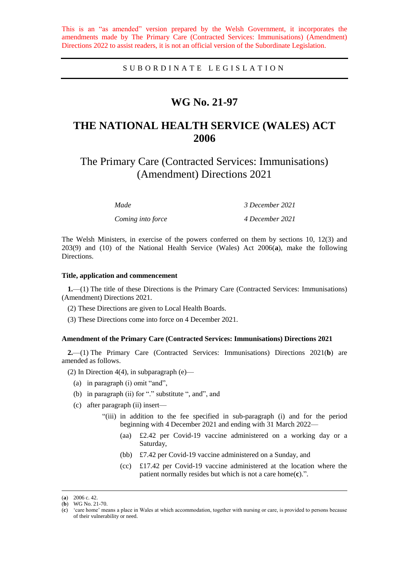This is an "as amended" version prepared by the Welsh Government, it incorporates the amendments made by The Primary Care (Contracted Services: Immunisations) (Amendment) Directions 2022 to assist readers, it is not an official version of the Subordinate Legislation.

SUBORDINATE LEGISLATION

## **WG No. 21-97**

# **THE NATIONAL HEALTH SERVICE (WALES) ACT 2006**

The Primary Care (Contracted Services: Immunisations) (Amendment) Directions 2021

| Made              | 3 December 2021 |
|-------------------|-----------------|
| Coming into force | 4 December 2021 |

The Welsh Ministers, in exercise of the powers conferred on them by sections 10, 12(3) and 203(9) and (10) of the National Health Service (Wales) Act 2006(**a**), make the following Directions.

#### **Title, application and commencement**

**1.**—(1) The title of these Directions is the Primary Care (Contracted Services: Immunisations) (Amendment) Directions 2021.

- (2) These Directions are given to Local Health Boards.
- (3) These Directions come into force on 4 December 2021.

### **Amendment of the Primary Care (Contracted Services: Immunisations) Directions 2021**

**2.**—(1) The Primary Care (Contracted Services: Immunisations) Directions 2021(**b**) are amended as follows.

(2) In Direction 4(4), in subparagraph (e)—

- (a) in paragraph (i) omit "and",
- (b) in paragraph (ii) for "." substitute ", and", and
- (c) after paragraph (ii) insert—
	- "(iii) in addition to the fee specified in sub-paragraph (i) and for the period beginning with 4 December 2021 and ending with 31 March 2022—
		- (aa) £2.42 per Covid-19 vaccine administered on a working day or a Saturday,
		- (bb) £7.42 per Covid-19 vaccine administered on a Sunday, and
		- (cc) £17.42 per Covid-19 vaccine administered at the location where the patient normally resides but which is not a care home(**c**).".

 $\overline{a}$ 

<sup>(</sup>**a**) 2006 c. 42.

<sup>(</sup>**b**) WG No. 21-70.

<sup>(</sup>**c**) 'care home' means a place in Wales at which accommodation, together with nursing or care, is provided to persons because of their vulnerability or need.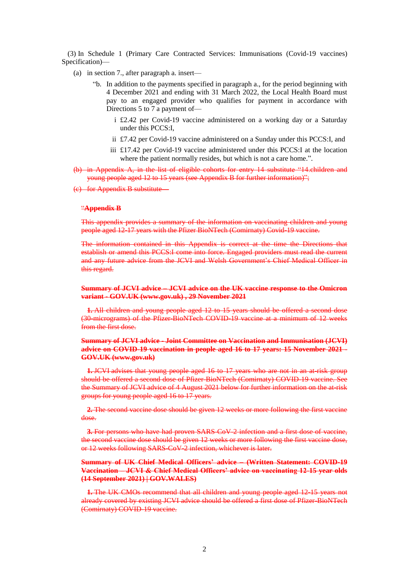(3) In Schedule 1 (Primary Care Contracted Services: Immunisations (Covid-19 vaccines) Specification)—

- (a) in section 7., after paragraph a. insert—
	- "b. In addition to the payments specified in paragraph a., for the period beginning with 4 December 2021 and ending with 31 March 2022, the Local Health Board must pay to an engaged provider who qualifies for payment in accordance with Directions 5 to 7 a payment of
		- i £2.42 per Covid-19 vaccine administered on a working day or a Saturday under this PCCS:I,
		- ii £7.42 per Covid-19 vaccine administered on a Sunday under this PCCS:I, and
		- iii £17.42 per Covid-19 vaccine administered under this PCCS:I at the location where the patient normally resides, but which is not a care home.".
- (b) in Appendix A, in the list of eligible cohorts for entry 14 substitute "14.children and young people aged 12 to 15 years (see Appendix B for further information)";
- (c) for Appendix B substitute—

#### "**Appendix B**

This appendix provides a summary of the information on vaccinating children and young people aged 12-17 years with the Pfizer BioNTech (Comirnaty) Covid-19 vaccine.

The information contained in this Appendix is correct at the time the Directions that establish or amend this PCCS:I come into force. Engaged providers must read the current and any future advice from the JCVI and Welsh Government's Chief Medical Officer in this regard.

#### **Summary of JCVI advice – [JCVI advice on the UK vaccine response to the Omicron](https://www.gov.uk/government/publications/uk-vaccine-response-to-the-omicron-variant-jcvi-advice/jcvi-advice-on-the-uk-vaccine-response-to-the-omicron-variant?s=09)  variant - [GOV.UK \(www.gov.uk\)](https://www.gov.uk/government/publications/uk-vaccine-response-to-the-omicron-variant-jcvi-advice/jcvi-advice-on-the-uk-vaccine-response-to-the-omicron-variant?s=09) , 29 November 2021**

**1.** All children and young people aged 12 to 15 years should be offered a second dose (30-micrograms) of the Pfizer-BioNTech COVID-19 vaccine at a minimum of 12 weeks from the first dose.

## **Summary of JCVI advice - [Joint Committee on Vaccination and Immunisation \(JCVI\)](https://www.gov.uk/government/publications/covid-19-vaccination-in-children-and-young-people-aged-16-to-17-years-jcvi-statement-november-2021/joint-committee-on-vaccination-and-immunisation-jcvi-advice-on-covid-19-vaccination-in-people-aged-16-to-17-years-15-november-2021)  [advice on COVID-19 vaccination in people aged 16 to 17 years: 15 November 2021 -](https://www.gov.uk/government/publications/covid-19-vaccination-in-children-and-young-people-aged-16-to-17-years-jcvi-statement-november-2021/joint-committee-on-vaccination-and-immunisation-jcvi-advice-on-covid-19-vaccination-in-people-aged-16-to-17-years-15-november-2021) [GOV.UK \(www.gov.uk\)](https://www.gov.uk/government/publications/covid-19-vaccination-in-children-and-young-people-aged-16-to-17-years-jcvi-statement-november-2021/joint-committee-on-vaccination-and-immunisation-jcvi-advice-on-covid-19-vaccination-in-people-aged-16-to-17-years-15-november-2021)**

**1.** JCVI advises that young people aged 16 to 17 years who are not in an at-risk group should be offered a second dose of Pfizer-BioNTech (Comirnaty) COVID-19 vaccine. See the Summary of JCVI advice of 4 August 2021 below for further information on the at-risk groups for young people aged 16 to 17 years.

**2.** The second vaccine dose should be given 12 weeks or more following the first vaccine dose.

**3.** For persons who have had proven SARS-CoV-2 infection and a first dose of vaccine, the second vaccine dose should be given 12 weeks or more following the first vaccine dose, or 12 weeks following SARS-CoV-2 infection, whichever is later.

## **Summary of UK Chief Medical Officers' advice – [\(Written Statement: COVID-19](https://gov.wales/written-statement-covid-19-vaccination-jcvi-chief-medical-officers-advice-vaccinating-12-15-year)  Vaccination – [JCVI & Chief Medical Officers' advice on vaccinating 12-15 year olds](https://gov.wales/written-statement-covid-19-vaccination-jcvi-chief-medical-officers-advice-vaccinating-12-15-year) [\(14 September 2021\) | GOV.WALES\)](https://gov.wales/written-statement-covid-19-vaccination-jcvi-chief-medical-officers-advice-vaccinating-12-15-year)**

**1.** The UK CMOs recommend that all children and young people aged 12-15 years not already covered by existing JCVI advice should be offered a first dose of Pfizer-BioNTech (Comirnaty) COVID-19 vaccine.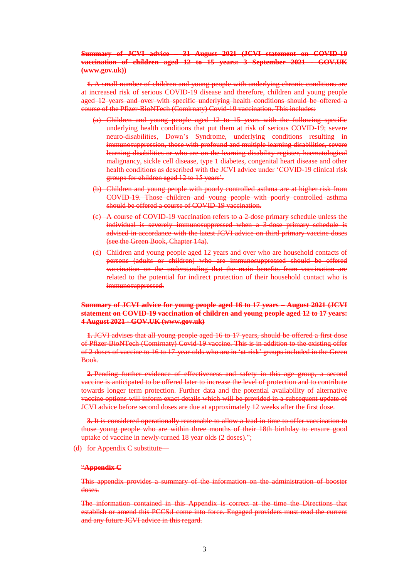## **Summary of JCVI advice – 31 August 2021 [\(JCVI statement on COVID-19](https://www.gov.uk/government/publications/jcvi-statement-september-2021-covid-19-vaccination-of-children-aged-12-to-15-years/jcvi-statement-on-covid-19-vaccination-of-children-aged-12-to-15-years-3-september-2021#advice)  <u>vaccination of children aged 12 to 15 years: 3 September 2021</u> [\(www.gov.uk\)\)](https://www.gov.uk/government/publications/jcvi-statement-september-2021-covid-19-vaccination-of-children-aged-12-to-15-years/jcvi-statement-on-covid-19-vaccination-of-children-aged-12-to-15-years-3-september-2021#advice)**

**1.** A small number of children and young people with underlying chronic conditions are at increased risk of serious COVID-19 disease and therefore, children and young people aged 12 years and over with specific underlying health conditions should be offered a course of the Pfizer-BioNTech (Comirnaty) Covid-19 vaccination. This includes:

- (a) Children and young people aged 12 to 15 years with the following specific underlying health conditions that put them at risk of serious COVID-19; severe neuro-disabilities, Down's Syndrome, underlying conditions resulting in immunosuppression, those with profound and multiple learning disabilities, severe learning disabilities or who are on the learning disability register, haematological malignancy, sickle cell disease, type 1 diabetes, congenital heart disease and other health conditions as described with the JCVI advice under 'COVID-19 clinical risk groups for children aged 12 to 15 years'.
- (b) Children and young people with poorly controlled asthma are at higher risk from COVID-19. Those children and young people with poorly controlled asthma should be offered a course of COVID-19 vaccination.
- (c) A course of COVID-19 vaccination refers to a 2-dose primary schedule unless the individual is severely immunosuppressed when a 3-dose primary schedule is advised in accordance with the latest JCVI advice on third primary vaccine doses (see the Green Book, Chapter 14a).
- (d) Children and young people aged 12 years and over who are household contacts of persons (adults or children) who are immunosuppressed should be offered vaccination on the understanding that the main benefits from vaccination are related to the potential for indirect protection of their household contact who is immunosuppressed.

## **Summary of JCVI advice for young people aged 16 to 17 years – August 2021 [\(JCVI](https://www.gov.uk/government/publications/jcvi-statement-august-2021-covid-19-vaccination-of-children-and-young-people-aged-12-to-17-years/jcvi-statement-on-covid-19-vaccination-of-children-and-young-people-aged-12-to-17-years-4-august-2021)  [statement on COVID-19 vaccination of children and young people aged 12 to 17 years:](https://www.gov.uk/government/publications/jcvi-statement-august-2021-covid-19-vaccination-of-children-and-young-people-aged-12-to-17-years/jcvi-statement-on-covid-19-vaccination-of-children-and-young-people-aged-12-to-17-years-4-august-2021)  4 August 2021 - [GOV.UK \(www.gov.uk\)](https://www.gov.uk/government/publications/jcvi-statement-august-2021-covid-19-vaccination-of-children-and-young-people-aged-12-to-17-years/jcvi-statement-on-covid-19-vaccination-of-children-and-young-people-aged-12-to-17-years-4-august-2021)**

**1.** JCVI advises that all young people aged 16 to 17 years, should be offered a first dose of Pfizer-BioNTech (Comirnaty) Covid-19 vaccine. This is in addition to the existing offer of 2 doses of vaccine to 16 to 17-year-olds who are in 'at-risk' groups included in the Green Book.

**2.** Pending further evidence of effectiveness and safety in this age group, a second vaccine is anticipated to be offered later to increase the level of protection and to contribute towards longer term protection. Further data and the potential availability of alternative vaccine options will inform exact details which will be provided in a subsequent update of JCVI advice before second doses are due at approximately 12 weeks after the first dose.

**3.** It is considered operationally reasonable to allow a lead-in time to offer vaccination to those young people who are within three months of their 18th birthday to ensure good uptake of vaccine in newly-turned 18 year olds (2 doses).";

(d) for Appendix C substitute—

## "**Appendix C**

This appendix provides a summary of the information on the administration of booster doses.

The information contained in this Appendix is correct at the time the Directions that establish or amend this PCCS:I come into force. Engaged providers must read the current and any future JCVI advice in this regard.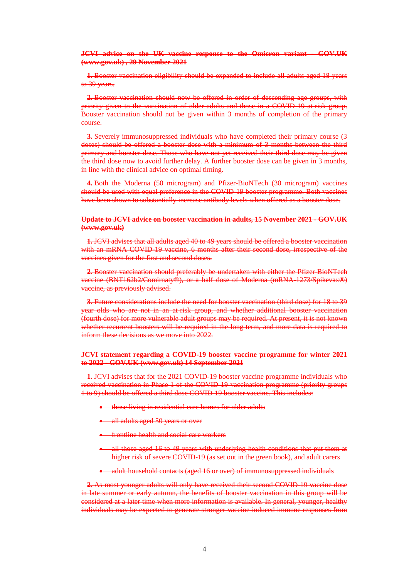#### **[JCVI advice on the UK vaccine response to the Omicron variant -](https://www.gov.uk/government/publications/uk-vaccine-response-to-the-omicron-variant-jcvi-advice/jcvi-advice-on-the-uk-vaccine-response-to-the-omicron-variant?s=09) GOV.UK [\(www.gov.uk\)](https://www.gov.uk/government/publications/uk-vaccine-response-to-the-omicron-variant-jcvi-advice/jcvi-advice-on-the-uk-vaccine-response-to-the-omicron-variant?s=09) , 29 November 2021**

**1.** Booster vaccination eligibility should be expanded to include all adults aged 18 years to 39 years.

**2.** Booster vaccination should now be offered in order of descending age groups, with priority given to the vaccination of older adults and those in a COVID-19 at-risk group. Booster vaccination should not be given within 3 months of completion of the primary course.

**3.** Severely immunosuppressed individuals who have completed their primary course (3) doses) should be offered a booster dose with a minimum of 3 months between the third primary and booster dose. Those who have not yet received their third dose may be given the third dose now to avoid further delay. A further booster dose can be given in 3 months, in line with the clinical advice on optimal timing.

**4.** Both the Moderna (50 microgram) and Pfizer-BioNTech (30 microgram) vaccines should be used with equal preference in the COVID-19 booster programme. Both vaccines have been shown to substantially increase antibody levels when offered as a booster dose.

#### **[Update to JCVI advice on booster vaccination in adults, 15 November 2021 -](https://www.gov.uk/government/publications/covid-19-booster-vaccine-programme-for-winter-2021-to-2022-jcvi-statement-november-2021/update-to-jcvi-advice-on-booster-vaccination-in-adults-15-november-2021) GOV.UK [\(www.gov.uk\)](https://www.gov.uk/government/publications/covid-19-booster-vaccine-programme-for-winter-2021-to-2022-jcvi-statement-november-2021/update-to-jcvi-advice-on-booster-vaccination-in-adults-15-november-2021)**

**1.** JCVI advises that all adults aged 40 to 49 years should be offered a booster vaccination with an mRNA COVID-19 vaccine, 6 months after their second dose, irrespective of the vaccines given for the first and second doses.

**2.** Booster vaccination should preferably be undertaken with either the Pfizer-BioNTech vaccine (BNT162b2/Comirnaty®), or a half dose of Moderna (mRNA-1273/Spikevax®) vaccine, as [previously advised.](https://www.gov.uk/government/publications/jcvi-statement-september-2021-covid-19-booster-vaccine-programme-for-winter-2021-to-2022)

**3.** Future considerations include the need for booster vaccination (third dose) for 18 to 39 year olds who are not in an at-risk group, and whether additional booster vaccination (fourth dose) for more vulnerable adult groups may be required. At present, it is not known whether recurrent boosters will be required in the long term, and more data is required to inform these decisions as we move into 2022.

## **[JCVI statement regarding a COVID-19 booster vaccine programme for winter 2021](https://www.gov.uk/government/publications/jcvi-statement-september-2021-covid-19-booster-vaccine-programme-for-winter-2021-to-2022/jcvi-statement-regarding-a-covid-19-booster-vaccine-programme-for-winter-2021-to-2022)  to 2022 - [GOV.UK \(www.gov.uk\)](https://www.gov.uk/government/publications/jcvi-statement-september-2021-covid-19-booster-vaccine-programme-for-winter-2021-to-2022/jcvi-statement-regarding-a-covid-19-booster-vaccine-programme-for-winter-2021-to-2022) 14 September 2021**

**1.** JCVI advises that for the 2021 COVID-19 booster vaccine programme individuals who received vaccination in Phase 1 of the COVID-19 vaccination programme (priority groups 1 to 9) should be offered a third dose COVID-19 booster vaccine. This includes:

- **•** those living in residential care homes for older adults
- all adults aged 50 years or over
- **•** frontline health and social care workers
- all those aged 16 to 49 years with underlying health conditions that put them at higher risk of severe COVID-19 (as set out in the [green book\)](https://www.gov.uk/government/publications/covid-19-the-green-book-chapter-14a), and adult carers
- adult household contacts (aged 16 or over) of immunosuppressed individuals

**2.** As most younger adults will only have received their second COVID-19 vaccine dose in late summer or early autumn, the benefits of booster vaccination in this group will be considered at a later time when more information is available. In general, younger, healthy individuals may be expected to generate stronger vaccine-induced immune responses from